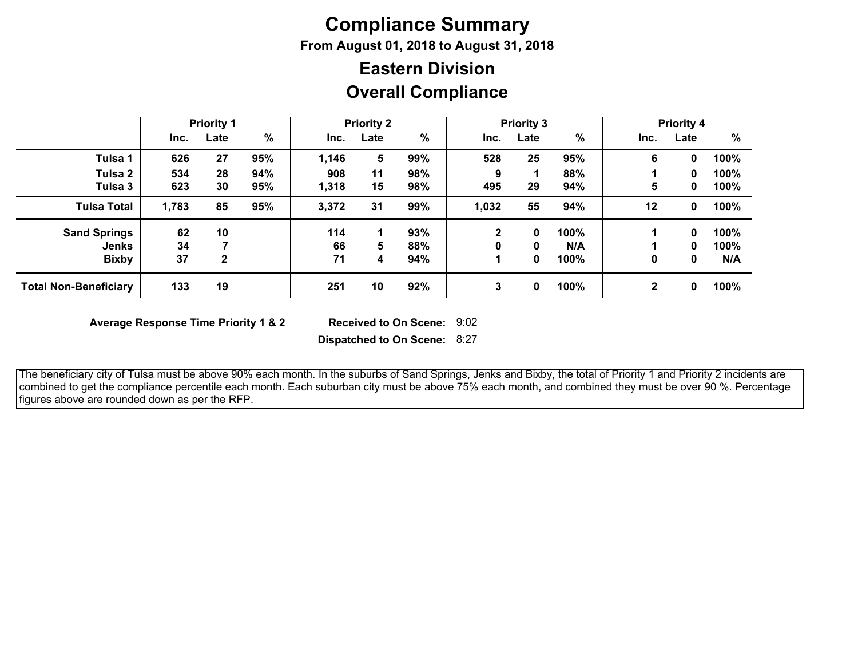# **Compliance Summary**

**From August 01, 2018 to August 31, 2018**

## **Overall Compliance Eastern Division**

|                              | <b>Priority 1</b> |      |      | <b>Priority 2</b> |      |      | <b>Priority 3</b> |      |               | <b>Priority 4</b> |      |      |
|------------------------------|-------------------|------|------|-------------------|------|------|-------------------|------|---------------|-------------------|------|------|
|                              | Inc.              | Late | $\%$ | Inc.              | Late | $\%$ | Inc.              | Late | $\frac{9}{6}$ | Inc.              | Late | %    |
| Tulsa 1                      | 626               | 27   | 95%  | 1,146             | 5    | 99%  | 528               | 25   | 95%           | 6                 | 0    | 100% |
| Tulsa 2                      | 534               | 28   | 94%  | 908               | 11   | 98%  | 9                 |      | 88%           |                   | 0    | 100% |
| Tulsa 3                      | 623               | 30   | 95%  | 1,318             | 15   | 98%  | 495               | 29   | 94%           | 5                 | 0    | 100% |
| <b>Tulsa Total</b>           | 1,783             | 85   | 95%  | 3,372             | 31   | 99%  | 1,032             | 55   | 94%           | 12                | 0    | 100% |
| <b>Sand Springs</b>          | 62                | 10   |      | 114               |      | 93%  | 2                 | 0    | 100%          |                   | 0    | 100% |
| <b>Jenks</b>                 | 34                |      |      | 66                | 5    | 88%  |                   | 0    | N/A           |                   | 0    | 100% |
| <b>Bixby</b>                 | 37                | 2    |      | 71                | 4    | 94%  |                   | 0    | 100%          | 0                 | 0    | N/A  |
| <b>Total Non-Beneficiary</b> | 133               | 19   |      | 251               | 10   | 92%  | 3                 | 0    | 100%          | $\mathbf 2$       | 0    | 100% |

**Average Response Time Priority 1 & 2** 

Received to On Scene: 9:02

**Dispatched to On Scene:** 8:27

 The beneficiary city of Tulsa must be above 90% each month. In the suburbs of Sand Springs, Jenks and Bixby, the total of Priority 1 and Priority 2 incidents are combined to get the compliance percentile each month. Each suburban city must be above 75% each month, and combined they must be over 90 %. Percentage figures above are rounded down as per the RFP.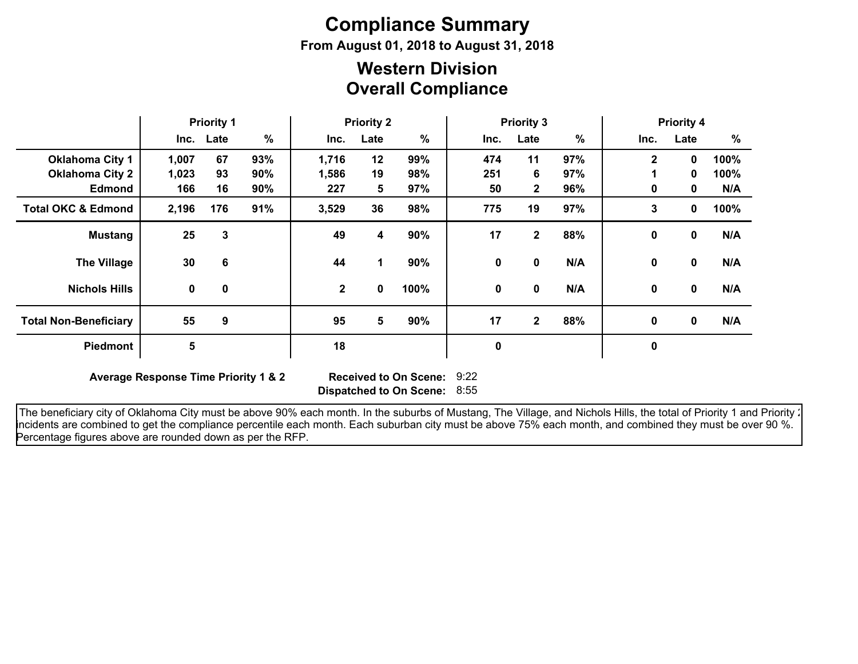# **Compliance Summary**

**From August 01, 2018 to August 31, 2018**

### **Overall Compliance Western Division**

|                               | <b>Priority 1</b> |             | <b>Priority 2</b> |              |      | <b>Priority 3</b> |             |                |     | <b>Priority 4</b> |              |      |
|-------------------------------|-------------------|-------------|-------------------|--------------|------|-------------------|-------------|----------------|-----|-------------------|--------------|------|
|                               |                   | Inc. Late   | $\%$              | Inc.         | Late | $\%$              | Inc.        | Late           | %   | Inc.              | Late         | %    |
| <b>Oklahoma City 1</b>        | 1,007             | 67          | 93%               | 1,716        | 12   | 99%               | 474         | 11             | 97% | $\mathbf{2}$      | 0            | 100% |
| <b>Oklahoma City 2</b>        | 1,023             | 93          | 90%               | 1,586        | 19   | 98%               | 251         | 6              | 97% |                   | $\mathbf{0}$ | 100% |
| <b>Edmond</b>                 | 166               | 16          | 90%               | 227          | 5    | 97%               | 50          | $\mathbf{2}$   | 96% | 0                 | 0            | N/A  |
| <b>Total OKC &amp; Edmond</b> | 2,196             | 176         | 91%               | 3,529        | 36   | 98%               | 775         | 19             | 97% | 3                 | $\mathbf 0$  | 100% |
| <b>Mustang</b>                | 25                | 3           |                   | 49           | 4    | 90%               | 17          | $\mathbf{2}$   | 88% | $\mathbf 0$       | $\mathbf 0$  | N/A  |
| <b>The Village</b>            | 30                | 6           |                   | 44           | 1    | 90%               | 0           | 0              | N/A | 0                 | $\mathbf 0$  | N/A  |
| <b>Nichols Hills</b>          | $\mathbf 0$       | $\mathbf 0$ |                   | $\mathbf{2}$ | 0    | 100%              | $\mathbf 0$ | 0              | N/A | 0                 | $\mathbf 0$  | N/A  |
| <b>Total Non-Beneficiary</b>  | 55                | 9           |                   | 95           | 5    | 90%               | 17          | $\overline{2}$ | 88% | 0                 | $\mathbf 0$  | N/A  |
| <b>Piedmont</b>               | 5                 |             |                   | 18           |      |                   | 0           |                |     | $\pmb{0}$         |              |      |

**Average Response Time Priority 1 & 2** 

**Dispatched to On Scene:** 8:55 Received to On Scene: 9:22

The beneficiary city of Oklahoma City must be above 90% each month. In the suburbs of Mustang, The Village, and Nichols Hills, the total of Priority 1 and Priority : incidents are combined to get the compliance percentile each month. Each suburban city must be above 75% each month, and combined they must be over 90 %. Percentage figures above are rounded down as per the RFP.